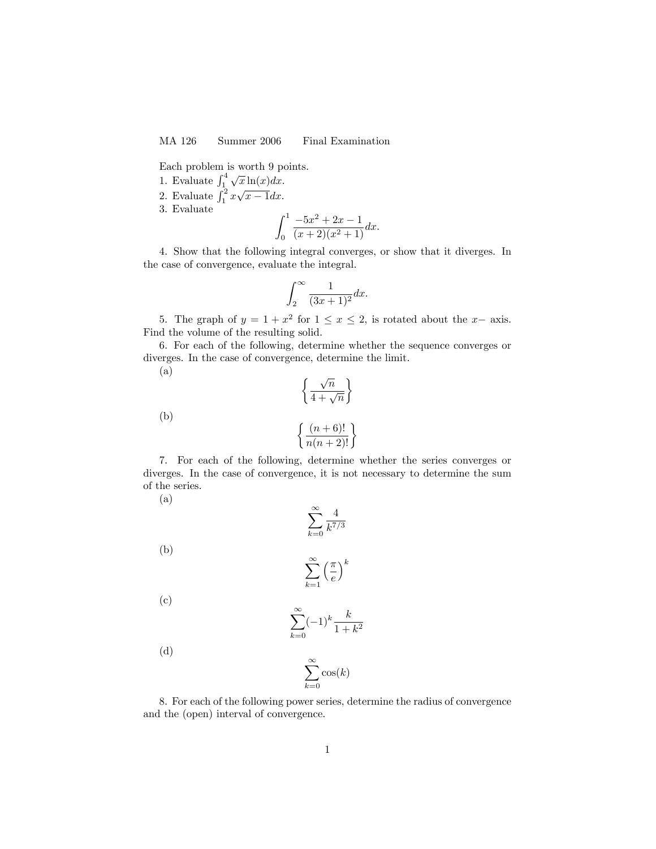MA 126 Summer 2006 Final Examination

Each problem is worth 9 points.

- 1. Evaluate  $\int_{1}^{4} \sqrt{x} \ln(x) dx$ .
- 2. Evaluate  $\int_1^2 x\sqrt{x-1}dx$ .
- 3. Evaluate

$$
\int_0^1 \frac{-5x^2 + 2x - 1}{(x+2)(x^2+1)} dx.
$$

4. Show that the following integral converges, or show that it diverges. In the case of convergence, evaluate the integral.

$$
\int_2^\infty \frac{1}{(3x+1)^2} dx.
$$

5. The graph of  $y = 1 + x^2$  for  $1 \le x \le 2$ , is rotated about the  $x$ - axis. Find the volume of the resulting solid.

6. For each of the following, determine whether the sequence converges or diverges. In the case of convergence, determine the limit.

 $\mathcal{L}$ 

(a)

(b)

(a)

(b)

$$
\left\{\frac{(n+6)!}{n(n+2)!}\right\}
$$

 $\int \sqrt{n}$  $\frac{1}{4+\sqrt{n}}$ 

7. For each of the following, determine whether the series converges or diverges. In the case of convergence, it is not necessary to determine the sum of the series.

| $\sum_{k=0}$ $\sqrt{k^{7/3}}$                                                       |
|-------------------------------------------------------------------------------------|
| $\mathbf{R}$<br>$\boldsymbol{k}$<br>$\frac{\pi}{2}$<br>$\overline{\mathbf{r}}$<br>м |

(c)

$$
\sum_{k=0}^{\infty} (-1)^k \frac{k}{1+k^2}
$$

(d)

$$
\sum_{k=0}^{\infty} \cos(k)
$$

 $k=1$ 

8. For each of the following power series, determine the radius of convergence and the (open) interval of convergence.